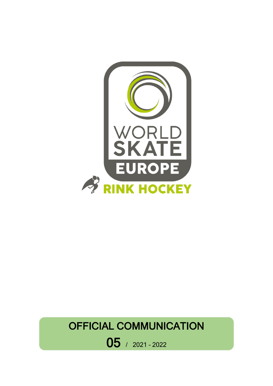

# OFFICIAL COMMUNICATION

05 / 2021 – <sup>2022</sup>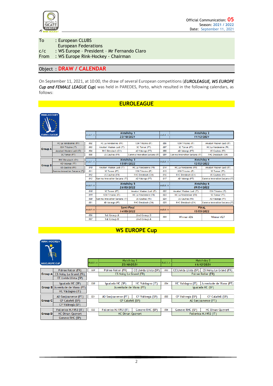

| To   | : European CLUBS                            |
|------|---------------------------------------------|
|      | <b>European Federations</b>                 |
| C/C  | : WS Europe - President - Mr Fernando Claro |
| From | : WS Europe Rink-Hockey - Chairman          |

#### Object : **DRAW / CALENDAR**

On September 11, 2021, at 10:00, the draw of several European competitions (*EUROLEAGUE, WS EUROPE Cup and FEMALE LEAGUE Cup*) was held in PAREDES, Porto, which resulted in the following calendars, as follows:

### **EUROLEAGUE**



Gro

Gro

| $\sim$<br><b>ROLEAGUE</b> |                               | match nr | Matchday 1<br>23/10/2021      |                               | match nr              | Matchday 2                    |                               |  |
|---------------------------|-------------------------------|----------|-------------------------------|-------------------------------|-----------------------|-------------------------------|-------------------------------|--|
|                           |                               |          |                               |                               |                       | 11/12/2021                    |                               |  |
|                           |                               |          |                               |                               |                       |                               |                               |  |
|                           | HC La Vendeenne (FR)          | 002      | HC La Vendeenne (FR)          | GSH Trissino (IT)             | 006                   | GSH Trissino (IT)             | Amatori Wasken Lodi (IT)      |  |
|                           | <b>GSH Trissino (IT)</b>      | 003      | Amatori Wasken Lodi (IT)      | SC Tomar (PT)                 | 007                   | SC Tomar (PT)                 | HC La Vendeenne (FR)          |  |
| iup A                     | Am atori Wasken Lodi (IT)     | 004      | RHC Diessbach (CH)            | AD Valongo (PT)               | m <sub>8</sub>        | AD Valongo (PT)               | US Coutras (FR)               |  |
|                           | SC Tomar (PT)                 | 005      | <b>US Coutras (FR)</b>        | Gamma Innovation Sarzana (IT) | 009                   | Gamma Innovation Sarzana (IT) | RHC Diessbach (CH)            |  |
| RHC Diessbach (CH)        |                               | match nr |                               | Matchday 3                    |                       | Matchday 4                    |                               |  |
| iup B                     | AD Valongo (PT)               |          |                               | match nr<br>15/01/2022        |                       | 12/02/2022                    |                               |  |
|                           | US Coutras (FR)               | 010      | Amatori Wasken Lodi (IT)      | HC La Vendeenne (FR)          | 014                   | HC La Vendeenne (FR)          | Amatori Wasken Lodi (IT)      |  |
|                           | Gamma Innovation Sarzana (IT) | 011      | SC Tomar (PT)                 | GSH Trissino (IT)             | 015                   | GSH Trissino (IT)             | SC Tom ar (PT)                |  |
|                           |                               | 012      | <b>US Coutras (FR)</b>        | RHC Diessbach (CH)            | 016                   | RHC Diessbach (CH)            | US Coutras (FR)               |  |
|                           |                               | 013      | Gamma Innovation Sarzana (IT) | AD Valongo (PT)               | 017                   | AD Valongo (PT)               | Gamma Innovation Sarzana (IT) |  |
|                           |                               | match nr | Matchday 5                    |                               | match nr              |                               | Matchday 6                    |  |
|                           |                               |          | 26/03/2022                    |                               |                       | 09/04/2022                    |                               |  |
|                           |                               | 018      | SC Tomar (PT)                 | Amatori Wasken Lodi (IT)      | <b>022</b>            | Amatori Wasken Lodi (IT)      | GSH Trissino (IT)             |  |
|                           |                               | 019      | GSH Trissino (IT)             | <b>HC La Vendeenne (FR)</b>   | $\omega$ <sub>3</sub> | <b>HC La Vendeenne (FR)</b>   | SC Tomar (PT)                 |  |
|                           |                               | 020      | Gamma Innovation Sarzana (IT) | US Coutras (FR)               | 024                   | US Coutras (FR)               | AD Valongo (PT)               |  |
|                           |                               | 021      | AD Valongo (PT)               | RHC Diessbach (CH)            | 025                   | RHC Diessbach (CH)            | Gamma Innovation Sarzana (IT) |  |
|                           |                               |          | Semi-Final                    |                               |                       | <b>FINAL</b>                  |                               |  |
|                           |                               | match nr | 14/05/2022                    |                               | match nr              | 15/05/2022                    |                               |  |
|                           |                               | 026      | 1st Group A                   | 2nd Group B                   | 028                   | Winner #26                    | Winner #27                    |  |
|                           |                               | 027      | 1st Group B                   | 2nd Group A                   |                       |                               |                               |  |
|                           |                               |          |                               |                               |                       |                               |                               |  |



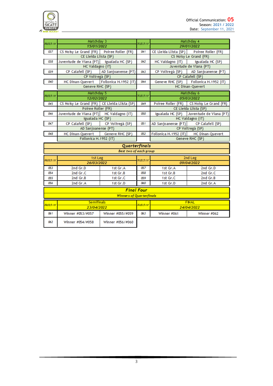

| Matchday 3 |                                              |                               |          | Matchday 4                             |                                            |  |  |  |
|------------|----------------------------------------------|-------------------------------|----------|----------------------------------------|--------------------------------------------|--|--|--|
| Match nr   | 15/01/2022                                   |                               | Match nr | 29/01/2022                             |                                            |  |  |  |
| 037        | CS Noisy Le Grand (FR)    Poiree Roller (FR) |                               | 041      |                                        | CE Lleida Llista (SP)   Poiree Roller (FR) |  |  |  |
|            | CE Lleida Llista (SP)                        |                               |          |                                        | CS Noisy Le Grand (FR)                     |  |  |  |
| 038        | Juventude de Viana (PT)                      | Igualada HC (SP)              | 042      | HC Valdagno (IT)                       | Igualada HC (SP)                           |  |  |  |
|            | HC Valdagno (IT)                             |                               |          | Juventude de Viana (PT)                |                                            |  |  |  |
| 039        | CP Calafell (SP)                             | AD Sanjoanense (PT)           | 043      |                                        | CP Voltregà (SP)   AD Sanjoanense (PT)     |  |  |  |
|            | CP Voltregà (SP)                             |                               |          |                                        | CP Calafell (SP)                           |  |  |  |
| 040        | <b>HC Dinan-Quevert</b>                      | Follonica H.1952 (IT)         | 044      |                                        | Geneve RHC (SP)   Follonica H.1952 (IT)    |  |  |  |
|            | Geneve RHC (SP)                              |                               |          |                                        | <b>HC Dinan-Quevert</b>                    |  |  |  |
| Match nr   | Matchday 5                                   |                               | Match nr |                                        | Matchday 6                                 |  |  |  |
|            | 12/02/2022                                   |                               |          |                                        | 05/03/2022                                 |  |  |  |
| 045        | CS Noisy Le Grand (FR) CE Lleida Llista (SP) |                               | 049      |                                        | Poiree Roller (FR) CS Noisy Le Grand (FR)  |  |  |  |
|            | Poiree Roller (FR)                           |                               |          |                                        | CE Lleida Llista (SP)                      |  |  |  |
| 046        | Juventude de Viana (PT) HC Valdagno (IT)     |                               | 050      |                                        | Igualada HC (SP) Juventude de Viana (PT)   |  |  |  |
|            | Igualada HC (SP)                             |                               |          | HC Valdagno (IT)                       |                                            |  |  |  |
| 047        | CP Calafell (SP)                             | CP Voltregà (SP)              | 051      | AD Sanjoanense (PT)   CP Calafell (SP) |                                            |  |  |  |
|            | AD Sanjoanense (PT)                          |                               |          | CP Voltregà (SP)                       |                                            |  |  |  |
| 048        | HC Dinan-Quevert Geneve RHC (SP)             |                               | 052      |                                        | Follonica H.1952 (IT) HC Dinan-Quevert     |  |  |  |
|            | Follonica H.1952 (IT)                        |                               |          |                                        | Geneve RHC (SP)                            |  |  |  |
|            |                                              | Quarterfinals                 |          |                                        |                                            |  |  |  |
|            |                                              | <b>Best two of each group</b> |          |                                        |                                            |  |  |  |
| Match nr   | 1st Leg                                      |                               | Match nr |                                        | 2nd Leg                                    |  |  |  |
|            | 26/03/2022                                   |                               |          |                                        | 09/04/2022                                 |  |  |  |
| 053        | 2nd Gr.D                                     | 1st Gr.A                      | 057      | 1st Gr.A                               | 2nd Gr.D                                   |  |  |  |
| 054        | 2nd Gr.C                                     | 1st Gr.B                      | 058      | 1st Gr.B                               | 2nd Gr.C                                   |  |  |  |
| 055        | 2nd Gr.B                                     | 1st Gr.C                      | 059      | 1st Gr.C                               | 2nd Gr.B                                   |  |  |  |
| 056        | 2nd Gr.A                                     | 1st Gr.D                      | 060      | 1st Gr.D                               | 2nd Gr.A                                   |  |  |  |
|            |                                              | <b>Final Four</b>             |          |                                        |                                            |  |  |  |
|            | <b>Winners of Quarterfinals</b>              |                               |          |                                        |                                            |  |  |  |
|            | <b>Semifinals</b>                            |                               |          |                                        | <b>FINAL</b>                               |  |  |  |
| Match nr   | 23/04/2022                                   |                               | Match nr |                                        | 24/04/2022                                 |  |  |  |
| 061        | Winner #053/#057                             | Winner #055/#059              | 063      | Winner #061                            | Winner #062                                |  |  |  |
| 062        | Winner #054/#058                             | Winner #056/#060              |          |                                        |                                            |  |  |  |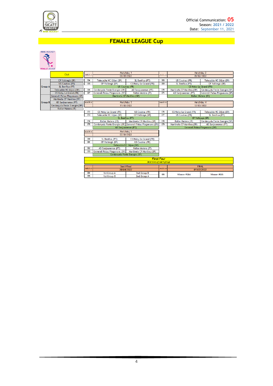

## **FEMALE LEAGUE Cup**



|                                                                    |                               | Matchday 1       |                                                         |                           |         | Matchday 2                |                               |
|--------------------------------------------------------------------|-------------------------------|------------------|---------------------------------------------------------|---------------------------|---------|---------------------------|-------------------------------|
|                                                                    | Club                          | match nr         | 08/01/2022                                              |                           | match n |                           | 05/02/2022                    |
|                                                                    | CP Voltregà (SP)              | 064              | Telecable HC Gijon (SP)                                 | SL Benfica (PT)           | 068     | <b>US Coutras (FR)</b>    | Telecable HC Gijon (SP)       |
|                                                                    | US Coutras (FR)               | OBS              | CP Voltregà (SP)                                        | CS Noisy Le Grand (FR)    | 069     | SL Benfica (PT)           | CP Voltregà (SP)              |
| <b>Group A</b>                                                     | SL Benfica (PT)               |                  | <b>US Coutras (FR)</b>                                  |                           |         |                           | CS Noisy Le Grand (FR)        |
|                                                                    | Telecable HC Gijon (SP)       | 066              | Cerdanyola Fenie Energie (SP)                           | AD Sanjoanense (PT)       | 070     | Martinela CP Manlleu (SP) | Cerdanyola Fenie Energie (SP) |
|                                                                    | <b>CS Noisy Le Grand (FR)</b> | $\overline{057}$ | Generali Palau Plegamans (SP)                           | Roller Matera (IT)        | 071     | AD Sanjoanense (PT)       | Generali Palau Plegamans (SP) |
|                                                                    | Generali Palau Plegamans (SP) |                  | Martinela CP Manlleu (SP)                               |                           |         |                           | Roller Matera (IT)            |
|                                                                    | Martinela CP Manlleu (SP)     |                  |                                                         |                           |         |                           |                               |
| <b>Group B</b>                                                     | AD Sanjoanense (PT)           | match nr         |                                                         | Matchday 3                | match m |                           | Matchday 4                    |
|                                                                    | Cerdanyola Fenie Energie (SP) |                  | 19/02/2022                                              |                           |         |                           | 12/03/2022                    |
|                                                                    | Roller Matera (IT)            |                  |                                                         |                           |         |                           |                               |
|                                                                    |                               | 072              | CS Noisy Le Grand (FR)                                  | <b>US Coutras (FR)</b>    | 076     | CS Noisy Le Grand (FR)    | Telecable HC Gijon (SP)       |
|                                                                    |                               | 073              | Telecable HC Giion (SP)                                 | CP Voltregà (SP)          | 077     | <b>US Coutras (FR)</b>    | SL Benfica (PT)               |
|                                                                    |                               |                  | SL Benfica (PT)                                         |                           |         |                           | CP Voltregà (SP)              |
|                                                                    |                               | 074              | Roller Matera (IT)                                      | Martinela CP Manlleu (SP) | 078     | Roller Matera (IT)        | Cerdanyola Fenie Energie (SP) |
| Cerdanyola Fenie Energie (SP) Generali Palau Plegamans (SP)<br>075 |                               | 079              | Martinela CP Manlleu (SP)                               | AD Sanjoanense (PT)       |         |                           |                               |
|                                                                    |                               |                  | AD Sanjoanense (PT)                                     |                           |         |                           | Generali Palau Plegamans (SP) |
|                                                                    |                               | matchinr         | Matchday 5                                              |                           |         |                           |                               |
|                                                                    |                               |                  | 02/04/2022                                              |                           |         |                           |                               |
|                                                                    |                               | 080              | SL Benfica (PT)                                         | CS Noisy Le Grand (FR)    |         |                           |                               |
|                                                                    |                               | 031              | CP Voltregà (SP)                                        | <b>US Coutras (FR)</b>    |         |                           |                               |
|                                                                    |                               |                  | Telecable HC Giion (SP)                                 |                           |         |                           |                               |
|                                                                    |                               | œ                | AD Sanjoanense (PT)                                     | Roller Matera (IT)        |         |                           |                               |
|                                                                    |                               | œ                | Generali Palau Plegamans (SP) Martinela CP Manlleu (SP) |                           |         |                           |                               |
|                                                                    |                               |                  | Cerdanyola Fenie Energie (SP)                           |                           |         |                           |                               |
|                                                                    |                               |                  |                                                         | <b>Final Four</b>         |         |                           |                               |
|                                                                    |                               |                  | <b>Best two of each group</b>                           |                           |         |                           |                               |
|                                                                    |                               |                  | Semi-Final<br>30/04/2022<br>1st Group A<br>2nd Group B  |                           |         |                           | <b>FINAL</b>                  |
|                                                                    |                               | match ni         |                                                         |                           | match n |                           | 01/05/2022                    |
|                                                                    |                               | 094              |                                                         |                           | 006     | Winner #084               | Winner #085                   |
|                                                                    |                               | ns.              | 1st Group B                                             | 2nd Group A               |         |                           |                               |
|                                                                    |                               |                  |                                                         |                           |         |                           |                               |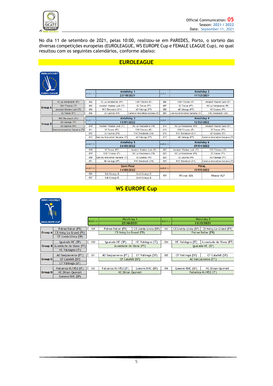

No dia 11 de setembro de 2021, pelas 10:00, realizou-se em PAREDES, Porto, o sorteio das diversas competições europeias (EUROLEAGUE, WS EUROPE Cup e FEMALE LEAGUE Cup), no qual resultou com os seguintes calendários, conforme abaixo:

## **EUROLEAGUE**



| $\star$          |                               |            |                                      |                               |                       |                               |                               |  |
|------------------|-------------------------------|------------|--------------------------------------|-------------------------------|-----------------------|-------------------------------|-------------------------------|--|
| <b>UROLEAGUE</b> |                               |            | Matchday 1                           |                               |                       | Matchday 2                    |                               |  |
|                  |                               | match nr   | 23/10/2021                           |                               | match nr              | 11/12/2021                    |                               |  |
|                  | HC La Vendeenne (FR)          | 002        | HC La Vendeenne (FR)                 | GSH Trissino (IT)             | <b>006</b>            | GSH Trissino (IT)             | Amatori Wasken Lodi (IT)      |  |
|                  |                               |            |                                      |                               | 007                   |                               |                               |  |
| iroup A          | <b>GSH Trissino (IT)</b>      | 003        | Amatori Wasken Lodi (IT)             | SC Tomar (PT)                 |                       | SC Tomar (PT)                 | HC La Vendeenne (FR)          |  |
|                  | Am atori Wasken Lodi (IT)     | 004        | RHC Diessbach (CH)                   | AD Valongo (PT)               | $\omega$ <sub>8</sub> | AD Valongo (PT)               | US Coutras (FR)               |  |
|                  | SC Tomar (PT)                 | 005        | <b>US Coutras (FR)</b>               | Gamma Innovation Sarzana (IT) | 009                   | Gamma Innovation Sarzana (IT) | RHC Diessbach (CH)            |  |
|                  | RHC Diessbach (CH)            | match nr   | Matchday 3                           |                               | match nr              |                               | Matchday 4                    |  |
| <b>Sroup B</b>   | AD Valongo (PT)               |            | 15/01/2022                           |                               |                       | 12/02/2022                    |                               |  |
|                  | US Coutras (FR)               | 010        | Amatori Wasken Lodi (IT)             | HC La Vendeenne (FR)          | 014                   | HC La Vendeenne (FR)          | Amatori Wasken Lodi (IT)      |  |
|                  | Gamma Innovation Sarzana (IT) | 011        | SC Tomar (PT)                        | GSH Trissino (IT)             | 015                   | GSH Trissino (IT)             | SC Tomar (PT)                 |  |
|                  |                               | 012        | <b>US Coutras (FR)</b>               | RHC Diessbach (CH)            | 016                   | RHC Diessbach (CH)            | US Coutras (FR)               |  |
|                  |                               | 013        | Gamma Innovation Sarzana (IT)        | AD Valongo (PT)               | 017                   | AD Valongo (PT)               | Gamma Innovation Sarzana (IT) |  |
|                  |                               | Matchday 5 |                                      |                               | Matchday 6            |                               |                               |  |
|                  |                               | match nr   | 26/03/2022                           |                               | match nr              | 09/04/2022                    |                               |  |
|                  |                               | 018        | SC Tomar (PT)                        | Amatori Wasken Lodi (IT)      | 022                   | Amatori Wasken Lodi (IT)      | GSH Trissino (IT)             |  |
|                  |                               | 019        | GSH Trissino (IT)                    | <b>HC La Vendeenne (FR)</b>   | 023                   | <b>HC La Vendeenne (FR)</b>   | SC Tomar (PT)                 |  |
|                  |                               | 020        | <b>Gamma Innovation Sarzana (IT)</b> | US Coutras (FR)               | 024                   | US Coutras (FR)               | AD Valongo (PT)               |  |
|                  |                               | 021        | AD Valongo (PT)                      | RHC Diessbach (CH)            | 025                   | RHC Diessbach (CH)            | Gamma Innovation Sarzana (IT) |  |
|                  |                               |            | Semi-Final                           |                               |                       | <b>FINAL</b>                  |                               |  |
|                  |                               | match nr   | 14/05/2022                           |                               | match nr              | 15/05/2022                    |                               |  |
|                  |                               | 026        | 1st Group A                          | 2nd Group B                   | 028                   | Winner #26                    | Winner #27                    |  |
|                  |                               | 027        | 1st Group B                          | 2nd Group A                   |                       |                               |                               |  |

## **WS EUROPE Cup**



| WS EUROPE CUP |                                 | Match nr | Matchday 1<br>23/10/2021 |                       | Match nr | Matchday 2<br>11/12/2021 |                         |
|---------------|---------------------------------|----------|--------------------------|-----------------------|----------|--------------------------|-------------------------|
|               | Poiree Roller (FR)              | 029      | Poiree Roller (FR)       | CE Lleida Llista (SP) | 033      | CE Lleida Llista (SP)    | CS Noisy Le Grand (FR)  |
| Group A       | CS Noisy Le Grand (FR)          |          | CS Noisy Le Grand (FR)   |                       |          | Poiree Roller (FR)       |                         |
|               | CE Lleida Llista (SP)           |          |                          |                       |          |                          |                         |
|               | Igualada HC (SP)                | 030      | Igualada HC (SP)         | HC Valdagno (IT)      | 034      | HC Valdagno (IT)         | Juventude de Viana (PT) |
|               | Group B Juventude de Viana (PT) |          | Juventude de Viana (PT)  |                       |          | Igualada HC (SP)         |                         |
|               | HC Valdagno (IT)                |          |                          |                       |          |                          |                         |
|               | AD Sanjoanense (PT)             | 031      | AD Sanjoanense (PT)      | CP Voltregà (SP)      | 035      | CP Voltregà (SP)         | CP Calafell (SP)        |
| Group C       | CP Calafell (SP)                |          | CP Calafell (SP)         |                       |          |                          | AD Sanjoanense (PT)     |
|               | CP Voltregà (SP)                |          |                          |                       |          |                          |                         |
|               | Follonica H.1952 (IT)           | 032      | Follonica H.1952 (IT)    | Geneve RHC (SP)       | 036      | Geneve RHC (SP)          | <b>HC Dinan-Ouevert</b> |
| Group D       | <b>HC Dinan-Quevert</b>         |          | <b>HC Dinan-Quevert</b>  |                       |          |                          | Follonica H.1952 (IT)   |
|               | Geneve RHC (SP)                 |          |                          |                       |          |                          |                         |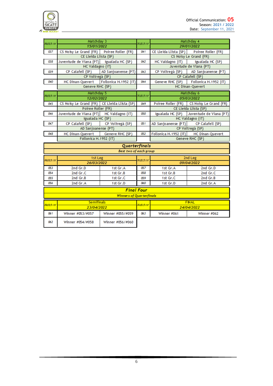



| Match nr | Matchday 3                                   |                               | Match nr |                                        | Matchday 4                                |  |  |  |  |
|----------|----------------------------------------------|-------------------------------|----------|----------------------------------------|-------------------------------------------|--|--|--|--|
|          | 15/01/2022                                   |                               |          | 29/01/2022                             |                                           |  |  |  |  |
| 037      | CS Noisy Le Grand (FR)    Poiree Roller (FR) |                               | 041      | CE Lleida Llista (SP)                  | Poiree Roller (FR)                        |  |  |  |  |
|          | CE Lleida Llista (SP)                        |                               |          |                                        | CS Noisy Le Grand (FR)                    |  |  |  |  |
| 038      | Juventude de Viana (PT)                      | Igualada HC (SP)              | 042      | $HC$ Valdagno $(IT)$                   | Igualada HC (SP)                          |  |  |  |  |
|          | HC Valdagno (IT)                             |                               |          |                                        | Juventude de Viana (PT)                   |  |  |  |  |
| 039      | CP Calafell (SP)                             | AD Sanjoanense (PT)           | 043      | CP Voltregà (SP)                       | AD Sanjoanense (PT)                       |  |  |  |  |
|          | CP Voltregà (SP)                             |                               |          |                                        | CP Calafell (SP)                          |  |  |  |  |
| 040      | <b>HC Dinan-Quevert</b>                      | Follonica H.1952 (IT)         | 044      |                                        | Geneve RHC (SP) Follonica H.1952 (IT)     |  |  |  |  |
|          | Geneve RHC (SP)                              |                               |          |                                        | <b>HC Dinan-Quevert</b>                   |  |  |  |  |
| Match nr | Matchday 5                                   |                               | Match nr |                                        | Matchday 6                                |  |  |  |  |
|          | 12/02/2022                                   |                               |          |                                        | 05/03/2022                                |  |  |  |  |
| 045      | CS Noisy Le Grand (FR) CE Lleida Llista (SP) |                               | 049      |                                        | Poiree Roller (FR) CS Noisy Le Grand (FR) |  |  |  |  |
|          | Poiree Roller (FR)                           |                               |          |                                        | CE Lleida Llista (SP)                     |  |  |  |  |
| 046      | Juventude de Viana (PT)                      | HC Valdagno (IT)              | 050      |                                        | Igualada HC (SP) Juventude de Viana (PT)  |  |  |  |  |
|          | Igualada HC (SP)                             |                               |          |                                        | HC Valdagno (IT)                          |  |  |  |  |
| 047      | CP Calafell (SP)                             | CP Voltregà (SP)              | 051      | AD Sanjoanense (PT)   CP Calafell (SP) |                                           |  |  |  |  |
|          | AD Sanjoanense (PT)                          |                               |          |                                        | CP Voltregà (SP)                          |  |  |  |  |
| 048      | HC Dinan-Quevert                             | Geneve RHC (SP)               | 052      |                                        | Follonica H.1952 (IT) HC Dinan-Quevert    |  |  |  |  |
|          | Follonica H.1952 (IT)                        |                               |          |                                        | Geneve RHC (SP)                           |  |  |  |  |
|          |                                              | Quarterfinals                 |          |                                        |                                           |  |  |  |  |
|          |                                              | <b>Best two of each group</b> |          |                                        |                                           |  |  |  |  |
|          | 1st Leg                                      |                               |          |                                        | 2nd Leg                                   |  |  |  |  |
| Match nr | 26/03/2022                                   |                               | Match nr |                                        | 09/04/2022                                |  |  |  |  |
| 053      | 2nd Gr.D                                     | 1st Gr.A                      | 057      | 1st Gr.A                               | 2nd Gr.D                                  |  |  |  |  |
| 054      | 2nd Gr.C                                     | 1st Gr.B                      | 058      | 1st Gr.B                               | 2nd Gr.C                                  |  |  |  |  |
| 055      | 2nd Gr.B                                     | 1st Gr.C                      | 059      | 1st Gr.C                               | 2nd Gr.B                                  |  |  |  |  |
| 056      | 2nd Gr.A                                     | 1st Gr.D                      | 060      | 1st Gr.D                               | 2nd Gr.A                                  |  |  |  |  |
|          |                                              | <b>Final Four</b>             |          |                                        |                                           |  |  |  |  |
|          | <b>Winners of Quarterfinals</b>              |                               |          |                                        |                                           |  |  |  |  |
|          | <b>Semifinals</b>                            |                               |          | <b>FINAL</b>                           |                                           |  |  |  |  |
| Match nr | 23/04/2022                                   |                               | Match nr |                                        | 24/04/2022                                |  |  |  |  |
| 061      | Winner #053/#057                             | Winner #055/#059              | 063      | Winner #061                            | Winner #062                               |  |  |  |  |
| 062      | Winner #054/#058                             | Winner #056/#060              |          |                                        |                                           |  |  |  |  |